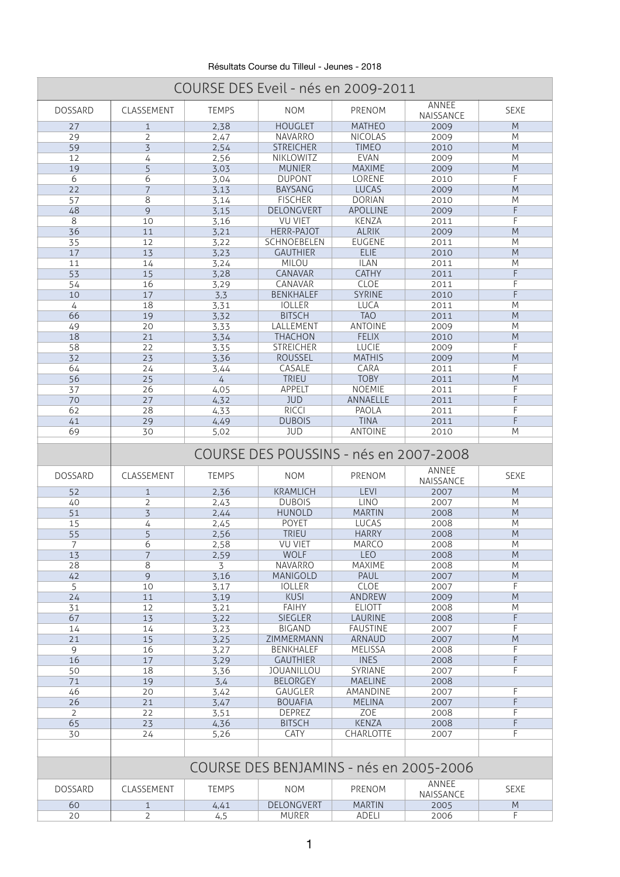Résultats Course du Tilleul - Jeunes - 2018

| ANNEE<br><b>SEXE</b><br><b>DOSSARD</b><br>CLASSEMENT<br><b>TEMPS</b><br><b>NOM</b><br>PRENOM<br>NAISSANCE<br><b>HOUGLET</b><br><b>MATHEO</b><br>M<br>2,38<br>27<br>2009<br>$\mathbf{1}$<br>$\overline{2}$<br><b>NAVARRO</b><br><b>NICOLAS</b><br>M<br>29<br>2009<br>2,47<br>$\overline{3}$<br>59<br><b>STREICHER</b><br><b>TIMEO</b><br>M<br>2010<br>2,54<br>NIKLOWITZ<br><b>EVAN</b><br>M<br>12<br>2,56<br>4<br>2009<br>5<br><b>MUNIER</b><br><b>MAXIME</b><br>M<br>19<br>2009<br>3,03<br>6<br><b>DUPONT</b><br><b>LORENE</b><br>F<br>6<br>2010<br>3,04<br>$\overline{7}$<br><b>LUCAS</b><br>M<br>22<br><b>BAYSANG</b><br>3,13<br>2009<br>$\overline{8}$<br><b>FISCHER</b><br><b>DORIAN</b><br>M<br>57<br>2010<br>3,14<br>48<br>9<br>DELONGVERT<br><b>APOLLINE</b><br>F<br>2009<br>3,15<br>8<br>F<br><b>VU VIET</b><br><b>KENZA</b><br>3,16<br>10<br>2011<br>M<br>36<br><b>HERR-PAJOT</b><br><b>ALRIK</b><br>2009<br>11<br>3,21<br>SCHNOEBELEN<br><b>EUGENE</b><br>35<br>M<br>12<br>2011<br>3,22<br>17<br>M<br>13<br><b>GAUTHIER</b><br><b>ELIE</b><br>3,23<br>2010<br><b>MILOU</b><br>M<br><b>ILAN</b><br>11<br>3,24<br>14<br>2011<br><b>CATHY</b><br>53<br>CANAVAR<br>15<br>3,28<br>F<br>2011<br>F<br>CANAVAR<br><b>CLOE</b><br>16<br>2011<br>54<br>3,29<br>F<br><b>BENKHALEF</b><br><b>SYRINE</b><br>10<br>3,3<br>17<br>2010<br><b>LUCA</b><br>M<br>18<br><b>IOLLER</b><br>4<br>3,31<br>2011<br>66<br><b>TAO</b><br>M<br><b>BITSCH</b><br>19<br>2011<br>3,32<br><b>ANTOINE</b><br>LALLEMENT<br>M<br>49<br>20<br>3,33<br>2009<br>18<br><b>THACHON</b><br><b>FELIX</b><br>M<br>21<br>2010<br>3,34<br>F<br>58<br><b>LUCIE</b><br><b>STREICHER</b><br>22<br>2009<br>3,35<br>M<br><b>ROUSSEL</b><br><b>MATHIS</b><br>32<br>3,36<br>2009<br>23<br>F<br>64<br>CASALE<br>CARA<br>24<br>2011<br>3,44<br>56<br>M<br><b>TRIEU</b><br><b>TOBY</b><br>25<br>2011<br>4<br><b>APPELT</b><br>26<br><b>NOEMIE</b><br>37<br>2011<br>4,05<br>F<br><b>JUD</b><br>ANNAELLE<br>70<br>27<br>4,32<br>2011<br>Е<br>62<br>28<br><b>RICCI</b><br>PAOLA<br>4,33<br>2011<br>F<br><b>DUBOIS</b><br><b>TINA</b><br>41<br>4,49<br>2011<br>29<br>69<br><b>ANTOINE</b><br>M<br>30<br>5,02<br><b>JUD</b><br>2010<br>COURSE DES POUSSINS - nés en 2007-2008<br>ANNEE<br><b>DOSSARD</b><br>CLASSEMENT<br><b>TEMPS</b><br><b>NOM</b><br>PRENOM<br><b>SEXE</b><br>NAISSANCE<br>M<br><b>KRAMLICH</b><br><b>LEVI</b><br>52<br>2,36<br>2007<br>$\mathbf{1}$<br><b>LINO</b><br>$\overline{2}$<br><b>DUBOIS</b><br>M<br>40<br>2007<br>2,43<br>3<br>M<br>51<br><b>MARTIN</b><br><b>HUNOLD</b><br>2008<br>2,44<br><b>POYET</b><br><b>LUCAS</b><br>M<br>15<br>4<br>2008<br>2,45<br>55<br>5<br><b>TRIEU</b><br><b>HARRY</b><br>M<br>2,56<br>2008<br>6<br><b>VU VIET</b><br><b>MARCO</b><br>M<br>2,58<br>2008<br>7<br>$\overline{7}$<br><b>WOLF</b><br><b>LEO</b><br>M<br>13<br>2008<br>2,59<br>$8\,$<br>28<br><b>NAVARRO</b><br><b>MAXIME</b><br>M<br>2008<br>3<br>9<br>PAUL<br>M<br>42<br>3,16<br>MANIGOLD<br>2007<br><b>CLOE</b><br>10<br><b>IOLLER</b><br>5<br>3,17<br>2007<br><b>KUSI</b><br>ANDREW<br>M<br>24<br>2009<br>11<br>3,19<br><b>ELIOTT</b><br>M<br>31<br><b>FAIHY</b><br>2008<br>12<br>3,21<br>67<br>F<br><b>SIEGLER</b><br>LAURINE<br>2008<br>13<br>3,22<br>F<br><b>BIGAND</b><br><b>FAUSTINE</b><br>14<br>14<br>3,23<br>2007<br>M<br>21<br>15<br>3,25<br>ZIMMERMANN<br>ARNAUD<br>2007<br><b>BENKHALEF</b><br><b>MELISSA</b><br>2008<br>16<br>3,27<br>9<br>16<br><b>GAUTHIER</b><br><b>INES</b><br>F<br>2008<br>17<br>3,29<br>F<br>SYRIANE<br>50<br>18<br>3,36<br><b>JOUANILLOU</b><br>2007<br><b>BELORGEY</b><br><b>MAELINE</b><br>2008<br>71<br>19<br>3,4<br>F<br>46<br>GAUGLER<br>AMANDINE<br>20<br>3,42<br>2007<br>F<br>26<br><b>BOUAFIA</b><br>21<br>3,47<br><b>MELINA</b><br>2007<br><b>DEPREZ</b><br><b>ZOE</b><br>2008<br>2<br>22<br>3,51<br>65<br><b>BITSCH</b><br><b>KENZA</b><br>F<br>2008<br>23<br>4,36<br>F<br><b>CATY</b><br><b>CHARLOTTE</b><br>30<br>5,26<br>24<br>2007<br>COURSE DES BENJAMINS - nés en 2005-2006<br>ANNEE<br><b>TEMPS</b><br><b>NOM</b><br><b>PRENOM</b><br><b>DOSSARD</b><br>CLASSEMENT<br><b>SEXE</b><br>NAISSANCE<br>DELONGVERT<br><b>MARTIN</b><br>60<br>M<br>2005<br>$\mathbf{1}$<br>4,41 |    |                |     | COURSE DES Eveil - nés en 2009-2011 |              |      |   |
|------------------------------------------------------------------------------------------------------------------------------------------------------------------------------------------------------------------------------------------------------------------------------------------------------------------------------------------------------------------------------------------------------------------------------------------------------------------------------------------------------------------------------------------------------------------------------------------------------------------------------------------------------------------------------------------------------------------------------------------------------------------------------------------------------------------------------------------------------------------------------------------------------------------------------------------------------------------------------------------------------------------------------------------------------------------------------------------------------------------------------------------------------------------------------------------------------------------------------------------------------------------------------------------------------------------------------------------------------------------------------------------------------------------------------------------------------------------------------------------------------------------------------------------------------------------------------------------------------------------------------------------------------------------------------------------------------------------------------------------------------------------------------------------------------------------------------------------------------------------------------------------------------------------------------------------------------------------------------------------------------------------------------------------------------------------------------------------------------------------------------------------------------------------------------------------------------------------------------------------------------------------------------------------------------------------------------------------------------------------------------------------------------------------------------------------------------------------------------------------------------------------------------------------------------------------------------------------------------------------------------------------------------------------------------------------------------------------------------------------------------------------------------------------------------------------------------------------------------------------------------------------------------------------------------------------------------------------------------------------------------------------------------------------------------------------------------------------------------------------------------------------------------------------------------------------------------------------------------------------------------------------------------------------------------------------------------------------------------------------------------------------------------------------------------------------------------------------------------------------------------------------------------------------------------------------------------------------------------------------------------------------------------------------------------------------------------------------------------------------------------------------------------------------------------------------------------------------------------------------------------------------------------------------------------------------------------------------------------------------------------------------------------------------------------------------------------------------------------------------------------------------------------------------------------------------------------|----|----------------|-----|-------------------------------------|--------------|------|---|
|                                                                                                                                                                                                                                                                                                                                                                                                                                                                                                                                                                                                                                                                                                                                                                                                                                                                                                                                                                                                                                                                                                                                                                                                                                                                                                                                                                                                                                                                                                                                                                                                                                                                                                                                                                                                                                                                                                                                                                                                                                                                                                                                                                                                                                                                                                                                                                                                                                                                                                                                                                                                                                                                                                                                                                                                                                                                                                                                                                                                                                                                                                                                                                                                                                                                                                                                                                                                                                                                                                                                                                                                                                                                                                                                                                                                                                                                                                                                                                                                                                                                                                                                                                                                      |    |                |     |                                     |              |      |   |
|                                                                                                                                                                                                                                                                                                                                                                                                                                                                                                                                                                                                                                                                                                                                                                                                                                                                                                                                                                                                                                                                                                                                                                                                                                                                                                                                                                                                                                                                                                                                                                                                                                                                                                                                                                                                                                                                                                                                                                                                                                                                                                                                                                                                                                                                                                                                                                                                                                                                                                                                                                                                                                                                                                                                                                                                                                                                                                                                                                                                                                                                                                                                                                                                                                                                                                                                                                                                                                                                                                                                                                                                                                                                                                                                                                                                                                                                                                                                                                                                                                                                                                                                                                                                      |    |                |     |                                     |              |      |   |
|                                                                                                                                                                                                                                                                                                                                                                                                                                                                                                                                                                                                                                                                                                                                                                                                                                                                                                                                                                                                                                                                                                                                                                                                                                                                                                                                                                                                                                                                                                                                                                                                                                                                                                                                                                                                                                                                                                                                                                                                                                                                                                                                                                                                                                                                                                                                                                                                                                                                                                                                                                                                                                                                                                                                                                                                                                                                                                                                                                                                                                                                                                                                                                                                                                                                                                                                                                                                                                                                                                                                                                                                                                                                                                                                                                                                                                                                                                                                                                                                                                                                                                                                                                                                      |    |                |     |                                     |              |      |   |
|                                                                                                                                                                                                                                                                                                                                                                                                                                                                                                                                                                                                                                                                                                                                                                                                                                                                                                                                                                                                                                                                                                                                                                                                                                                                                                                                                                                                                                                                                                                                                                                                                                                                                                                                                                                                                                                                                                                                                                                                                                                                                                                                                                                                                                                                                                                                                                                                                                                                                                                                                                                                                                                                                                                                                                                                                                                                                                                                                                                                                                                                                                                                                                                                                                                                                                                                                                                                                                                                                                                                                                                                                                                                                                                                                                                                                                                                                                                                                                                                                                                                                                                                                                                                      |    |                |     |                                     |              |      |   |
|                                                                                                                                                                                                                                                                                                                                                                                                                                                                                                                                                                                                                                                                                                                                                                                                                                                                                                                                                                                                                                                                                                                                                                                                                                                                                                                                                                                                                                                                                                                                                                                                                                                                                                                                                                                                                                                                                                                                                                                                                                                                                                                                                                                                                                                                                                                                                                                                                                                                                                                                                                                                                                                                                                                                                                                                                                                                                                                                                                                                                                                                                                                                                                                                                                                                                                                                                                                                                                                                                                                                                                                                                                                                                                                                                                                                                                                                                                                                                                                                                                                                                                                                                                                                      |    |                |     |                                     |              |      |   |
|                                                                                                                                                                                                                                                                                                                                                                                                                                                                                                                                                                                                                                                                                                                                                                                                                                                                                                                                                                                                                                                                                                                                                                                                                                                                                                                                                                                                                                                                                                                                                                                                                                                                                                                                                                                                                                                                                                                                                                                                                                                                                                                                                                                                                                                                                                                                                                                                                                                                                                                                                                                                                                                                                                                                                                                                                                                                                                                                                                                                                                                                                                                                                                                                                                                                                                                                                                                                                                                                                                                                                                                                                                                                                                                                                                                                                                                                                                                                                                                                                                                                                                                                                                                                      |    |                |     |                                     |              |      |   |
|                                                                                                                                                                                                                                                                                                                                                                                                                                                                                                                                                                                                                                                                                                                                                                                                                                                                                                                                                                                                                                                                                                                                                                                                                                                                                                                                                                                                                                                                                                                                                                                                                                                                                                                                                                                                                                                                                                                                                                                                                                                                                                                                                                                                                                                                                                                                                                                                                                                                                                                                                                                                                                                                                                                                                                                                                                                                                                                                                                                                                                                                                                                                                                                                                                                                                                                                                                                                                                                                                                                                                                                                                                                                                                                                                                                                                                                                                                                                                                                                                                                                                                                                                                                                      |    |                |     |                                     |              |      |   |
|                                                                                                                                                                                                                                                                                                                                                                                                                                                                                                                                                                                                                                                                                                                                                                                                                                                                                                                                                                                                                                                                                                                                                                                                                                                                                                                                                                                                                                                                                                                                                                                                                                                                                                                                                                                                                                                                                                                                                                                                                                                                                                                                                                                                                                                                                                                                                                                                                                                                                                                                                                                                                                                                                                                                                                                                                                                                                                                                                                                                                                                                                                                                                                                                                                                                                                                                                                                                                                                                                                                                                                                                                                                                                                                                                                                                                                                                                                                                                                                                                                                                                                                                                                                                      |    |                |     |                                     |              |      |   |
|                                                                                                                                                                                                                                                                                                                                                                                                                                                                                                                                                                                                                                                                                                                                                                                                                                                                                                                                                                                                                                                                                                                                                                                                                                                                                                                                                                                                                                                                                                                                                                                                                                                                                                                                                                                                                                                                                                                                                                                                                                                                                                                                                                                                                                                                                                                                                                                                                                                                                                                                                                                                                                                                                                                                                                                                                                                                                                                                                                                                                                                                                                                                                                                                                                                                                                                                                                                                                                                                                                                                                                                                                                                                                                                                                                                                                                                                                                                                                                                                                                                                                                                                                                                                      |    |                |     |                                     |              |      |   |
|                                                                                                                                                                                                                                                                                                                                                                                                                                                                                                                                                                                                                                                                                                                                                                                                                                                                                                                                                                                                                                                                                                                                                                                                                                                                                                                                                                                                                                                                                                                                                                                                                                                                                                                                                                                                                                                                                                                                                                                                                                                                                                                                                                                                                                                                                                                                                                                                                                                                                                                                                                                                                                                                                                                                                                                                                                                                                                                                                                                                                                                                                                                                                                                                                                                                                                                                                                                                                                                                                                                                                                                                                                                                                                                                                                                                                                                                                                                                                                                                                                                                                                                                                                                                      |    |                |     |                                     |              |      |   |
|                                                                                                                                                                                                                                                                                                                                                                                                                                                                                                                                                                                                                                                                                                                                                                                                                                                                                                                                                                                                                                                                                                                                                                                                                                                                                                                                                                                                                                                                                                                                                                                                                                                                                                                                                                                                                                                                                                                                                                                                                                                                                                                                                                                                                                                                                                                                                                                                                                                                                                                                                                                                                                                                                                                                                                                                                                                                                                                                                                                                                                                                                                                                                                                                                                                                                                                                                                                                                                                                                                                                                                                                                                                                                                                                                                                                                                                                                                                                                                                                                                                                                                                                                                                                      |    |                |     |                                     |              |      |   |
|                                                                                                                                                                                                                                                                                                                                                                                                                                                                                                                                                                                                                                                                                                                                                                                                                                                                                                                                                                                                                                                                                                                                                                                                                                                                                                                                                                                                                                                                                                                                                                                                                                                                                                                                                                                                                                                                                                                                                                                                                                                                                                                                                                                                                                                                                                                                                                                                                                                                                                                                                                                                                                                                                                                                                                                                                                                                                                                                                                                                                                                                                                                                                                                                                                                                                                                                                                                                                                                                                                                                                                                                                                                                                                                                                                                                                                                                                                                                                                                                                                                                                                                                                                                                      |    |                |     |                                     |              |      |   |
|                                                                                                                                                                                                                                                                                                                                                                                                                                                                                                                                                                                                                                                                                                                                                                                                                                                                                                                                                                                                                                                                                                                                                                                                                                                                                                                                                                                                                                                                                                                                                                                                                                                                                                                                                                                                                                                                                                                                                                                                                                                                                                                                                                                                                                                                                                                                                                                                                                                                                                                                                                                                                                                                                                                                                                                                                                                                                                                                                                                                                                                                                                                                                                                                                                                                                                                                                                                                                                                                                                                                                                                                                                                                                                                                                                                                                                                                                                                                                                                                                                                                                                                                                                                                      |    |                |     |                                     |              |      |   |
|                                                                                                                                                                                                                                                                                                                                                                                                                                                                                                                                                                                                                                                                                                                                                                                                                                                                                                                                                                                                                                                                                                                                                                                                                                                                                                                                                                                                                                                                                                                                                                                                                                                                                                                                                                                                                                                                                                                                                                                                                                                                                                                                                                                                                                                                                                                                                                                                                                                                                                                                                                                                                                                                                                                                                                                                                                                                                                                                                                                                                                                                                                                                                                                                                                                                                                                                                                                                                                                                                                                                                                                                                                                                                                                                                                                                                                                                                                                                                                                                                                                                                                                                                                                                      |    |                |     |                                     |              |      |   |
|                                                                                                                                                                                                                                                                                                                                                                                                                                                                                                                                                                                                                                                                                                                                                                                                                                                                                                                                                                                                                                                                                                                                                                                                                                                                                                                                                                                                                                                                                                                                                                                                                                                                                                                                                                                                                                                                                                                                                                                                                                                                                                                                                                                                                                                                                                                                                                                                                                                                                                                                                                                                                                                                                                                                                                                                                                                                                                                                                                                                                                                                                                                                                                                                                                                                                                                                                                                                                                                                                                                                                                                                                                                                                                                                                                                                                                                                                                                                                                                                                                                                                                                                                                                                      |    |                |     |                                     |              |      |   |
|                                                                                                                                                                                                                                                                                                                                                                                                                                                                                                                                                                                                                                                                                                                                                                                                                                                                                                                                                                                                                                                                                                                                                                                                                                                                                                                                                                                                                                                                                                                                                                                                                                                                                                                                                                                                                                                                                                                                                                                                                                                                                                                                                                                                                                                                                                                                                                                                                                                                                                                                                                                                                                                                                                                                                                                                                                                                                                                                                                                                                                                                                                                                                                                                                                                                                                                                                                                                                                                                                                                                                                                                                                                                                                                                                                                                                                                                                                                                                                                                                                                                                                                                                                                                      |    |                |     |                                     |              |      |   |
|                                                                                                                                                                                                                                                                                                                                                                                                                                                                                                                                                                                                                                                                                                                                                                                                                                                                                                                                                                                                                                                                                                                                                                                                                                                                                                                                                                                                                                                                                                                                                                                                                                                                                                                                                                                                                                                                                                                                                                                                                                                                                                                                                                                                                                                                                                                                                                                                                                                                                                                                                                                                                                                                                                                                                                                                                                                                                                                                                                                                                                                                                                                                                                                                                                                                                                                                                                                                                                                                                                                                                                                                                                                                                                                                                                                                                                                                                                                                                                                                                                                                                                                                                                                                      |    |                |     |                                     |              |      |   |
|                                                                                                                                                                                                                                                                                                                                                                                                                                                                                                                                                                                                                                                                                                                                                                                                                                                                                                                                                                                                                                                                                                                                                                                                                                                                                                                                                                                                                                                                                                                                                                                                                                                                                                                                                                                                                                                                                                                                                                                                                                                                                                                                                                                                                                                                                                                                                                                                                                                                                                                                                                                                                                                                                                                                                                                                                                                                                                                                                                                                                                                                                                                                                                                                                                                                                                                                                                                                                                                                                                                                                                                                                                                                                                                                                                                                                                                                                                                                                                                                                                                                                                                                                                                                      |    |                |     |                                     |              |      |   |
|                                                                                                                                                                                                                                                                                                                                                                                                                                                                                                                                                                                                                                                                                                                                                                                                                                                                                                                                                                                                                                                                                                                                                                                                                                                                                                                                                                                                                                                                                                                                                                                                                                                                                                                                                                                                                                                                                                                                                                                                                                                                                                                                                                                                                                                                                                                                                                                                                                                                                                                                                                                                                                                                                                                                                                                                                                                                                                                                                                                                                                                                                                                                                                                                                                                                                                                                                                                                                                                                                                                                                                                                                                                                                                                                                                                                                                                                                                                                                                                                                                                                                                                                                                                                      |    |                |     |                                     |              |      |   |
|                                                                                                                                                                                                                                                                                                                                                                                                                                                                                                                                                                                                                                                                                                                                                                                                                                                                                                                                                                                                                                                                                                                                                                                                                                                                                                                                                                                                                                                                                                                                                                                                                                                                                                                                                                                                                                                                                                                                                                                                                                                                                                                                                                                                                                                                                                                                                                                                                                                                                                                                                                                                                                                                                                                                                                                                                                                                                                                                                                                                                                                                                                                                                                                                                                                                                                                                                                                                                                                                                                                                                                                                                                                                                                                                                                                                                                                                                                                                                                                                                                                                                                                                                                                                      |    |                |     |                                     |              |      |   |
|                                                                                                                                                                                                                                                                                                                                                                                                                                                                                                                                                                                                                                                                                                                                                                                                                                                                                                                                                                                                                                                                                                                                                                                                                                                                                                                                                                                                                                                                                                                                                                                                                                                                                                                                                                                                                                                                                                                                                                                                                                                                                                                                                                                                                                                                                                                                                                                                                                                                                                                                                                                                                                                                                                                                                                                                                                                                                                                                                                                                                                                                                                                                                                                                                                                                                                                                                                                                                                                                                                                                                                                                                                                                                                                                                                                                                                                                                                                                                                                                                                                                                                                                                                                                      |    |                |     |                                     |              |      |   |
|                                                                                                                                                                                                                                                                                                                                                                                                                                                                                                                                                                                                                                                                                                                                                                                                                                                                                                                                                                                                                                                                                                                                                                                                                                                                                                                                                                                                                                                                                                                                                                                                                                                                                                                                                                                                                                                                                                                                                                                                                                                                                                                                                                                                                                                                                                                                                                                                                                                                                                                                                                                                                                                                                                                                                                                                                                                                                                                                                                                                                                                                                                                                                                                                                                                                                                                                                                                                                                                                                                                                                                                                                                                                                                                                                                                                                                                                                                                                                                                                                                                                                                                                                                                                      |    |                |     |                                     |              |      |   |
|                                                                                                                                                                                                                                                                                                                                                                                                                                                                                                                                                                                                                                                                                                                                                                                                                                                                                                                                                                                                                                                                                                                                                                                                                                                                                                                                                                                                                                                                                                                                                                                                                                                                                                                                                                                                                                                                                                                                                                                                                                                                                                                                                                                                                                                                                                                                                                                                                                                                                                                                                                                                                                                                                                                                                                                                                                                                                                                                                                                                                                                                                                                                                                                                                                                                                                                                                                                                                                                                                                                                                                                                                                                                                                                                                                                                                                                                                                                                                                                                                                                                                                                                                                                                      |    |                |     |                                     |              |      |   |
|                                                                                                                                                                                                                                                                                                                                                                                                                                                                                                                                                                                                                                                                                                                                                                                                                                                                                                                                                                                                                                                                                                                                                                                                                                                                                                                                                                                                                                                                                                                                                                                                                                                                                                                                                                                                                                                                                                                                                                                                                                                                                                                                                                                                                                                                                                                                                                                                                                                                                                                                                                                                                                                                                                                                                                                                                                                                                                                                                                                                                                                                                                                                                                                                                                                                                                                                                                                                                                                                                                                                                                                                                                                                                                                                                                                                                                                                                                                                                                                                                                                                                                                                                                                                      |    |                |     |                                     |              |      |   |
|                                                                                                                                                                                                                                                                                                                                                                                                                                                                                                                                                                                                                                                                                                                                                                                                                                                                                                                                                                                                                                                                                                                                                                                                                                                                                                                                                                                                                                                                                                                                                                                                                                                                                                                                                                                                                                                                                                                                                                                                                                                                                                                                                                                                                                                                                                                                                                                                                                                                                                                                                                                                                                                                                                                                                                                                                                                                                                                                                                                                                                                                                                                                                                                                                                                                                                                                                                                                                                                                                                                                                                                                                                                                                                                                                                                                                                                                                                                                                                                                                                                                                                                                                                                                      |    |                |     |                                     |              |      |   |
|                                                                                                                                                                                                                                                                                                                                                                                                                                                                                                                                                                                                                                                                                                                                                                                                                                                                                                                                                                                                                                                                                                                                                                                                                                                                                                                                                                                                                                                                                                                                                                                                                                                                                                                                                                                                                                                                                                                                                                                                                                                                                                                                                                                                                                                                                                                                                                                                                                                                                                                                                                                                                                                                                                                                                                                                                                                                                                                                                                                                                                                                                                                                                                                                                                                                                                                                                                                                                                                                                                                                                                                                                                                                                                                                                                                                                                                                                                                                                                                                                                                                                                                                                                                                      |    |                |     |                                     |              |      |   |
|                                                                                                                                                                                                                                                                                                                                                                                                                                                                                                                                                                                                                                                                                                                                                                                                                                                                                                                                                                                                                                                                                                                                                                                                                                                                                                                                                                                                                                                                                                                                                                                                                                                                                                                                                                                                                                                                                                                                                                                                                                                                                                                                                                                                                                                                                                                                                                                                                                                                                                                                                                                                                                                                                                                                                                                                                                                                                                                                                                                                                                                                                                                                                                                                                                                                                                                                                                                                                                                                                                                                                                                                                                                                                                                                                                                                                                                                                                                                                                                                                                                                                                                                                                                                      |    |                |     |                                     |              |      |   |
|                                                                                                                                                                                                                                                                                                                                                                                                                                                                                                                                                                                                                                                                                                                                                                                                                                                                                                                                                                                                                                                                                                                                                                                                                                                                                                                                                                                                                                                                                                                                                                                                                                                                                                                                                                                                                                                                                                                                                                                                                                                                                                                                                                                                                                                                                                                                                                                                                                                                                                                                                                                                                                                                                                                                                                                                                                                                                                                                                                                                                                                                                                                                                                                                                                                                                                                                                                                                                                                                                                                                                                                                                                                                                                                                                                                                                                                                                                                                                                                                                                                                                                                                                                                                      |    |                |     |                                     |              |      |   |
|                                                                                                                                                                                                                                                                                                                                                                                                                                                                                                                                                                                                                                                                                                                                                                                                                                                                                                                                                                                                                                                                                                                                                                                                                                                                                                                                                                                                                                                                                                                                                                                                                                                                                                                                                                                                                                                                                                                                                                                                                                                                                                                                                                                                                                                                                                                                                                                                                                                                                                                                                                                                                                                                                                                                                                                                                                                                                                                                                                                                                                                                                                                                                                                                                                                                                                                                                                                                                                                                                                                                                                                                                                                                                                                                                                                                                                                                                                                                                                                                                                                                                                                                                                                                      |    |                |     |                                     |              |      |   |
|                                                                                                                                                                                                                                                                                                                                                                                                                                                                                                                                                                                                                                                                                                                                                                                                                                                                                                                                                                                                                                                                                                                                                                                                                                                                                                                                                                                                                                                                                                                                                                                                                                                                                                                                                                                                                                                                                                                                                                                                                                                                                                                                                                                                                                                                                                                                                                                                                                                                                                                                                                                                                                                                                                                                                                                                                                                                                                                                                                                                                                                                                                                                                                                                                                                                                                                                                                                                                                                                                                                                                                                                                                                                                                                                                                                                                                                                                                                                                                                                                                                                                                                                                                                                      |    |                |     |                                     |              |      |   |
|                                                                                                                                                                                                                                                                                                                                                                                                                                                                                                                                                                                                                                                                                                                                                                                                                                                                                                                                                                                                                                                                                                                                                                                                                                                                                                                                                                                                                                                                                                                                                                                                                                                                                                                                                                                                                                                                                                                                                                                                                                                                                                                                                                                                                                                                                                                                                                                                                                                                                                                                                                                                                                                                                                                                                                                                                                                                                                                                                                                                                                                                                                                                                                                                                                                                                                                                                                                                                                                                                                                                                                                                                                                                                                                                                                                                                                                                                                                                                                                                                                                                                                                                                                                                      |    |                |     |                                     |              |      |   |
|                                                                                                                                                                                                                                                                                                                                                                                                                                                                                                                                                                                                                                                                                                                                                                                                                                                                                                                                                                                                                                                                                                                                                                                                                                                                                                                                                                                                                                                                                                                                                                                                                                                                                                                                                                                                                                                                                                                                                                                                                                                                                                                                                                                                                                                                                                                                                                                                                                                                                                                                                                                                                                                                                                                                                                                                                                                                                                                                                                                                                                                                                                                                                                                                                                                                                                                                                                                                                                                                                                                                                                                                                                                                                                                                                                                                                                                                                                                                                                                                                                                                                                                                                                                                      |    |                |     |                                     |              |      |   |
|                                                                                                                                                                                                                                                                                                                                                                                                                                                                                                                                                                                                                                                                                                                                                                                                                                                                                                                                                                                                                                                                                                                                                                                                                                                                                                                                                                                                                                                                                                                                                                                                                                                                                                                                                                                                                                                                                                                                                                                                                                                                                                                                                                                                                                                                                                                                                                                                                                                                                                                                                                                                                                                                                                                                                                                                                                                                                                                                                                                                                                                                                                                                                                                                                                                                                                                                                                                                                                                                                                                                                                                                                                                                                                                                                                                                                                                                                                                                                                                                                                                                                                                                                                                                      |    |                |     |                                     |              |      |   |
|                                                                                                                                                                                                                                                                                                                                                                                                                                                                                                                                                                                                                                                                                                                                                                                                                                                                                                                                                                                                                                                                                                                                                                                                                                                                                                                                                                                                                                                                                                                                                                                                                                                                                                                                                                                                                                                                                                                                                                                                                                                                                                                                                                                                                                                                                                                                                                                                                                                                                                                                                                                                                                                                                                                                                                                                                                                                                                                                                                                                                                                                                                                                                                                                                                                                                                                                                                                                                                                                                                                                                                                                                                                                                                                                                                                                                                                                                                                                                                                                                                                                                                                                                                                                      |    |                |     |                                     |              |      |   |
|                                                                                                                                                                                                                                                                                                                                                                                                                                                                                                                                                                                                                                                                                                                                                                                                                                                                                                                                                                                                                                                                                                                                                                                                                                                                                                                                                                                                                                                                                                                                                                                                                                                                                                                                                                                                                                                                                                                                                                                                                                                                                                                                                                                                                                                                                                                                                                                                                                                                                                                                                                                                                                                                                                                                                                                                                                                                                                                                                                                                                                                                                                                                                                                                                                                                                                                                                                                                                                                                                                                                                                                                                                                                                                                                                                                                                                                                                                                                                                                                                                                                                                                                                                                                      |    |                |     |                                     |              |      |   |
|                                                                                                                                                                                                                                                                                                                                                                                                                                                                                                                                                                                                                                                                                                                                                                                                                                                                                                                                                                                                                                                                                                                                                                                                                                                                                                                                                                                                                                                                                                                                                                                                                                                                                                                                                                                                                                                                                                                                                                                                                                                                                                                                                                                                                                                                                                                                                                                                                                                                                                                                                                                                                                                                                                                                                                                                                                                                                                                                                                                                                                                                                                                                                                                                                                                                                                                                                                                                                                                                                                                                                                                                                                                                                                                                                                                                                                                                                                                                                                                                                                                                                                                                                                                                      |    |                |     |                                     |              |      |   |
|                                                                                                                                                                                                                                                                                                                                                                                                                                                                                                                                                                                                                                                                                                                                                                                                                                                                                                                                                                                                                                                                                                                                                                                                                                                                                                                                                                                                                                                                                                                                                                                                                                                                                                                                                                                                                                                                                                                                                                                                                                                                                                                                                                                                                                                                                                                                                                                                                                                                                                                                                                                                                                                                                                                                                                                                                                                                                                                                                                                                                                                                                                                                                                                                                                                                                                                                                                                                                                                                                                                                                                                                                                                                                                                                                                                                                                                                                                                                                                                                                                                                                                                                                                                                      |    |                |     |                                     |              |      |   |
|                                                                                                                                                                                                                                                                                                                                                                                                                                                                                                                                                                                                                                                                                                                                                                                                                                                                                                                                                                                                                                                                                                                                                                                                                                                                                                                                                                                                                                                                                                                                                                                                                                                                                                                                                                                                                                                                                                                                                                                                                                                                                                                                                                                                                                                                                                                                                                                                                                                                                                                                                                                                                                                                                                                                                                                                                                                                                                                                                                                                                                                                                                                                                                                                                                                                                                                                                                                                                                                                                                                                                                                                                                                                                                                                                                                                                                                                                                                                                                                                                                                                                                                                                                                                      |    |                |     |                                     |              |      |   |
|                                                                                                                                                                                                                                                                                                                                                                                                                                                                                                                                                                                                                                                                                                                                                                                                                                                                                                                                                                                                                                                                                                                                                                                                                                                                                                                                                                                                                                                                                                                                                                                                                                                                                                                                                                                                                                                                                                                                                                                                                                                                                                                                                                                                                                                                                                                                                                                                                                                                                                                                                                                                                                                                                                                                                                                                                                                                                                                                                                                                                                                                                                                                                                                                                                                                                                                                                                                                                                                                                                                                                                                                                                                                                                                                                                                                                                                                                                                                                                                                                                                                                                                                                                                                      |    |                |     |                                     |              |      |   |
|                                                                                                                                                                                                                                                                                                                                                                                                                                                                                                                                                                                                                                                                                                                                                                                                                                                                                                                                                                                                                                                                                                                                                                                                                                                                                                                                                                                                                                                                                                                                                                                                                                                                                                                                                                                                                                                                                                                                                                                                                                                                                                                                                                                                                                                                                                                                                                                                                                                                                                                                                                                                                                                                                                                                                                                                                                                                                                                                                                                                                                                                                                                                                                                                                                                                                                                                                                                                                                                                                                                                                                                                                                                                                                                                                                                                                                                                                                                                                                                                                                                                                                                                                                                                      |    |                |     |                                     |              |      |   |
|                                                                                                                                                                                                                                                                                                                                                                                                                                                                                                                                                                                                                                                                                                                                                                                                                                                                                                                                                                                                                                                                                                                                                                                                                                                                                                                                                                                                                                                                                                                                                                                                                                                                                                                                                                                                                                                                                                                                                                                                                                                                                                                                                                                                                                                                                                                                                                                                                                                                                                                                                                                                                                                                                                                                                                                                                                                                                                                                                                                                                                                                                                                                                                                                                                                                                                                                                                                                                                                                                                                                                                                                                                                                                                                                                                                                                                                                                                                                                                                                                                                                                                                                                                                                      |    |                |     |                                     |              |      |   |
|                                                                                                                                                                                                                                                                                                                                                                                                                                                                                                                                                                                                                                                                                                                                                                                                                                                                                                                                                                                                                                                                                                                                                                                                                                                                                                                                                                                                                                                                                                                                                                                                                                                                                                                                                                                                                                                                                                                                                                                                                                                                                                                                                                                                                                                                                                                                                                                                                                                                                                                                                                                                                                                                                                                                                                                                                                                                                                                                                                                                                                                                                                                                                                                                                                                                                                                                                                                                                                                                                                                                                                                                                                                                                                                                                                                                                                                                                                                                                                                                                                                                                                                                                                                                      |    |                |     |                                     |              |      |   |
|                                                                                                                                                                                                                                                                                                                                                                                                                                                                                                                                                                                                                                                                                                                                                                                                                                                                                                                                                                                                                                                                                                                                                                                                                                                                                                                                                                                                                                                                                                                                                                                                                                                                                                                                                                                                                                                                                                                                                                                                                                                                                                                                                                                                                                                                                                                                                                                                                                                                                                                                                                                                                                                                                                                                                                                                                                                                                                                                                                                                                                                                                                                                                                                                                                                                                                                                                                                                                                                                                                                                                                                                                                                                                                                                                                                                                                                                                                                                                                                                                                                                                                                                                                                                      |    |                |     |                                     |              |      |   |
|                                                                                                                                                                                                                                                                                                                                                                                                                                                                                                                                                                                                                                                                                                                                                                                                                                                                                                                                                                                                                                                                                                                                                                                                                                                                                                                                                                                                                                                                                                                                                                                                                                                                                                                                                                                                                                                                                                                                                                                                                                                                                                                                                                                                                                                                                                                                                                                                                                                                                                                                                                                                                                                                                                                                                                                                                                                                                                                                                                                                                                                                                                                                                                                                                                                                                                                                                                                                                                                                                                                                                                                                                                                                                                                                                                                                                                                                                                                                                                                                                                                                                                                                                                                                      |    |                |     |                                     |              |      |   |
|                                                                                                                                                                                                                                                                                                                                                                                                                                                                                                                                                                                                                                                                                                                                                                                                                                                                                                                                                                                                                                                                                                                                                                                                                                                                                                                                                                                                                                                                                                                                                                                                                                                                                                                                                                                                                                                                                                                                                                                                                                                                                                                                                                                                                                                                                                                                                                                                                                                                                                                                                                                                                                                                                                                                                                                                                                                                                                                                                                                                                                                                                                                                                                                                                                                                                                                                                                                                                                                                                                                                                                                                                                                                                                                                                                                                                                                                                                                                                                                                                                                                                                                                                                                                      |    |                |     |                                     |              |      |   |
|                                                                                                                                                                                                                                                                                                                                                                                                                                                                                                                                                                                                                                                                                                                                                                                                                                                                                                                                                                                                                                                                                                                                                                                                                                                                                                                                                                                                                                                                                                                                                                                                                                                                                                                                                                                                                                                                                                                                                                                                                                                                                                                                                                                                                                                                                                                                                                                                                                                                                                                                                                                                                                                                                                                                                                                                                                                                                                                                                                                                                                                                                                                                                                                                                                                                                                                                                                                                                                                                                                                                                                                                                                                                                                                                                                                                                                                                                                                                                                                                                                                                                                                                                                                                      |    |                |     |                                     |              |      |   |
|                                                                                                                                                                                                                                                                                                                                                                                                                                                                                                                                                                                                                                                                                                                                                                                                                                                                                                                                                                                                                                                                                                                                                                                                                                                                                                                                                                                                                                                                                                                                                                                                                                                                                                                                                                                                                                                                                                                                                                                                                                                                                                                                                                                                                                                                                                                                                                                                                                                                                                                                                                                                                                                                                                                                                                                                                                                                                                                                                                                                                                                                                                                                                                                                                                                                                                                                                                                                                                                                                                                                                                                                                                                                                                                                                                                                                                                                                                                                                                                                                                                                                                                                                                                                      |    |                |     |                                     |              |      |   |
|                                                                                                                                                                                                                                                                                                                                                                                                                                                                                                                                                                                                                                                                                                                                                                                                                                                                                                                                                                                                                                                                                                                                                                                                                                                                                                                                                                                                                                                                                                                                                                                                                                                                                                                                                                                                                                                                                                                                                                                                                                                                                                                                                                                                                                                                                                                                                                                                                                                                                                                                                                                                                                                                                                                                                                                                                                                                                                                                                                                                                                                                                                                                                                                                                                                                                                                                                                                                                                                                                                                                                                                                                                                                                                                                                                                                                                                                                                                                                                                                                                                                                                                                                                                                      |    |                |     |                                     |              |      |   |
|                                                                                                                                                                                                                                                                                                                                                                                                                                                                                                                                                                                                                                                                                                                                                                                                                                                                                                                                                                                                                                                                                                                                                                                                                                                                                                                                                                                                                                                                                                                                                                                                                                                                                                                                                                                                                                                                                                                                                                                                                                                                                                                                                                                                                                                                                                                                                                                                                                                                                                                                                                                                                                                                                                                                                                                                                                                                                                                                                                                                                                                                                                                                                                                                                                                                                                                                                                                                                                                                                                                                                                                                                                                                                                                                                                                                                                                                                                                                                                                                                                                                                                                                                                                                      |    |                |     |                                     |              |      |   |
|                                                                                                                                                                                                                                                                                                                                                                                                                                                                                                                                                                                                                                                                                                                                                                                                                                                                                                                                                                                                                                                                                                                                                                                                                                                                                                                                                                                                                                                                                                                                                                                                                                                                                                                                                                                                                                                                                                                                                                                                                                                                                                                                                                                                                                                                                                                                                                                                                                                                                                                                                                                                                                                                                                                                                                                                                                                                                                                                                                                                                                                                                                                                                                                                                                                                                                                                                                                                                                                                                                                                                                                                                                                                                                                                                                                                                                                                                                                                                                                                                                                                                                                                                                                                      |    |                |     |                                     |              |      |   |
|                                                                                                                                                                                                                                                                                                                                                                                                                                                                                                                                                                                                                                                                                                                                                                                                                                                                                                                                                                                                                                                                                                                                                                                                                                                                                                                                                                                                                                                                                                                                                                                                                                                                                                                                                                                                                                                                                                                                                                                                                                                                                                                                                                                                                                                                                                                                                                                                                                                                                                                                                                                                                                                                                                                                                                                                                                                                                                                                                                                                                                                                                                                                                                                                                                                                                                                                                                                                                                                                                                                                                                                                                                                                                                                                                                                                                                                                                                                                                                                                                                                                                                                                                                                                      |    |                |     |                                     |              |      |   |
|                                                                                                                                                                                                                                                                                                                                                                                                                                                                                                                                                                                                                                                                                                                                                                                                                                                                                                                                                                                                                                                                                                                                                                                                                                                                                                                                                                                                                                                                                                                                                                                                                                                                                                                                                                                                                                                                                                                                                                                                                                                                                                                                                                                                                                                                                                                                                                                                                                                                                                                                                                                                                                                                                                                                                                                                                                                                                                                                                                                                                                                                                                                                                                                                                                                                                                                                                                                                                                                                                                                                                                                                                                                                                                                                                                                                                                                                                                                                                                                                                                                                                                                                                                                                      |    |                |     |                                     |              |      |   |
|                                                                                                                                                                                                                                                                                                                                                                                                                                                                                                                                                                                                                                                                                                                                                                                                                                                                                                                                                                                                                                                                                                                                                                                                                                                                                                                                                                                                                                                                                                                                                                                                                                                                                                                                                                                                                                                                                                                                                                                                                                                                                                                                                                                                                                                                                                                                                                                                                                                                                                                                                                                                                                                                                                                                                                                                                                                                                                                                                                                                                                                                                                                                                                                                                                                                                                                                                                                                                                                                                                                                                                                                                                                                                                                                                                                                                                                                                                                                                                                                                                                                                                                                                                                                      |    |                |     |                                     |              |      |   |
|                                                                                                                                                                                                                                                                                                                                                                                                                                                                                                                                                                                                                                                                                                                                                                                                                                                                                                                                                                                                                                                                                                                                                                                                                                                                                                                                                                                                                                                                                                                                                                                                                                                                                                                                                                                                                                                                                                                                                                                                                                                                                                                                                                                                                                                                                                                                                                                                                                                                                                                                                                                                                                                                                                                                                                                                                                                                                                                                                                                                                                                                                                                                                                                                                                                                                                                                                                                                                                                                                                                                                                                                                                                                                                                                                                                                                                                                                                                                                                                                                                                                                                                                                                                                      |    |                |     |                                     |              |      |   |
|                                                                                                                                                                                                                                                                                                                                                                                                                                                                                                                                                                                                                                                                                                                                                                                                                                                                                                                                                                                                                                                                                                                                                                                                                                                                                                                                                                                                                                                                                                                                                                                                                                                                                                                                                                                                                                                                                                                                                                                                                                                                                                                                                                                                                                                                                                                                                                                                                                                                                                                                                                                                                                                                                                                                                                                                                                                                                                                                                                                                                                                                                                                                                                                                                                                                                                                                                                                                                                                                                                                                                                                                                                                                                                                                                                                                                                                                                                                                                                                                                                                                                                                                                                                                      |    |                |     |                                     |              |      |   |
|                                                                                                                                                                                                                                                                                                                                                                                                                                                                                                                                                                                                                                                                                                                                                                                                                                                                                                                                                                                                                                                                                                                                                                                                                                                                                                                                                                                                                                                                                                                                                                                                                                                                                                                                                                                                                                                                                                                                                                                                                                                                                                                                                                                                                                                                                                                                                                                                                                                                                                                                                                                                                                                                                                                                                                                                                                                                                                                                                                                                                                                                                                                                                                                                                                                                                                                                                                                                                                                                                                                                                                                                                                                                                                                                                                                                                                                                                                                                                                                                                                                                                                                                                                                                      |    |                |     |                                     |              |      |   |
|                                                                                                                                                                                                                                                                                                                                                                                                                                                                                                                                                                                                                                                                                                                                                                                                                                                                                                                                                                                                                                                                                                                                                                                                                                                                                                                                                                                                                                                                                                                                                                                                                                                                                                                                                                                                                                                                                                                                                                                                                                                                                                                                                                                                                                                                                                                                                                                                                                                                                                                                                                                                                                                                                                                                                                                                                                                                                                                                                                                                                                                                                                                                                                                                                                                                                                                                                                                                                                                                                                                                                                                                                                                                                                                                                                                                                                                                                                                                                                                                                                                                                                                                                                                                      |    |                |     |                                     |              |      |   |
|                                                                                                                                                                                                                                                                                                                                                                                                                                                                                                                                                                                                                                                                                                                                                                                                                                                                                                                                                                                                                                                                                                                                                                                                                                                                                                                                                                                                                                                                                                                                                                                                                                                                                                                                                                                                                                                                                                                                                                                                                                                                                                                                                                                                                                                                                                                                                                                                                                                                                                                                                                                                                                                                                                                                                                                                                                                                                                                                                                                                                                                                                                                                                                                                                                                                                                                                                                                                                                                                                                                                                                                                                                                                                                                                                                                                                                                                                                                                                                                                                                                                                                                                                                                                      |    |                |     |                                     |              |      |   |
|                                                                                                                                                                                                                                                                                                                                                                                                                                                                                                                                                                                                                                                                                                                                                                                                                                                                                                                                                                                                                                                                                                                                                                                                                                                                                                                                                                                                                                                                                                                                                                                                                                                                                                                                                                                                                                                                                                                                                                                                                                                                                                                                                                                                                                                                                                                                                                                                                                                                                                                                                                                                                                                                                                                                                                                                                                                                                                                                                                                                                                                                                                                                                                                                                                                                                                                                                                                                                                                                                                                                                                                                                                                                                                                                                                                                                                                                                                                                                                                                                                                                                                                                                                                                      |    |                |     |                                     |              |      |   |
|                                                                                                                                                                                                                                                                                                                                                                                                                                                                                                                                                                                                                                                                                                                                                                                                                                                                                                                                                                                                                                                                                                                                                                                                                                                                                                                                                                                                                                                                                                                                                                                                                                                                                                                                                                                                                                                                                                                                                                                                                                                                                                                                                                                                                                                                                                                                                                                                                                                                                                                                                                                                                                                                                                                                                                                                                                                                                                                                                                                                                                                                                                                                                                                                                                                                                                                                                                                                                                                                                                                                                                                                                                                                                                                                                                                                                                                                                                                                                                                                                                                                                                                                                                                                      |    |                |     |                                     |              |      |   |
|                                                                                                                                                                                                                                                                                                                                                                                                                                                                                                                                                                                                                                                                                                                                                                                                                                                                                                                                                                                                                                                                                                                                                                                                                                                                                                                                                                                                                                                                                                                                                                                                                                                                                                                                                                                                                                                                                                                                                                                                                                                                                                                                                                                                                                                                                                                                                                                                                                                                                                                                                                                                                                                                                                                                                                                                                                                                                                                                                                                                                                                                                                                                                                                                                                                                                                                                                                                                                                                                                                                                                                                                                                                                                                                                                                                                                                                                                                                                                                                                                                                                                                                                                                                                      |    |                |     |                                     |              |      |   |
|                                                                                                                                                                                                                                                                                                                                                                                                                                                                                                                                                                                                                                                                                                                                                                                                                                                                                                                                                                                                                                                                                                                                                                                                                                                                                                                                                                                                                                                                                                                                                                                                                                                                                                                                                                                                                                                                                                                                                                                                                                                                                                                                                                                                                                                                                                                                                                                                                                                                                                                                                                                                                                                                                                                                                                                                                                                                                                                                                                                                                                                                                                                                                                                                                                                                                                                                                                                                                                                                                                                                                                                                                                                                                                                                                                                                                                                                                                                                                                                                                                                                                                                                                                                                      |    |                |     |                                     |              |      |   |
|                                                                                                                                                                                                                                                                                                                                                                                                                                                                                                                                                                                                                                                                                                                                                                                                                                                                                                                                                                                                                                                                                                                                                                                                                                                                                                                                                                                                                                                                                                                                                                                                                                                                                                                                                                                                                                                                                                                                                                                                                                                                                                                                                                                                                                                                                                                                                                                                                                                                                                                                                                                                                                                                                                                                                                                                                                                                                                                                                                                                                                                                                                                                                                                                                                                                                                                                                                                                                                                                                                                                                                                                                                                                                                                                                                                                                                                                                                                                                                                                                                                                                                                                                                                                      |    |                |     |                                     |              |      |   |
|                                                                                                                                                                                                                                                                                                                                                                                                                                                                                                                                                                                                                                                                                                                                                                                                                                                                                                                                                                                                                                                                                                                                                                                                                                                                                                                                                                                                                                                                                                                                                                                                                                                                                                                                                                                                                                                                                                                                                                                                                                                                                                                                                                                                                                                                                                                                                                                                                                                                                                                                                                                                                                                                                                                                                                                                                                                                                                                                                                                                                                                                                                                                                                                                                                                                                                                                                                                                                                                                                                                                                                                                                                                                                                                                                                                                                                                                                                                                                                                                                                                                                                                                                                                                      | 20 | $\overline{2}$ | 4,5 | <b>MURER</b>                        | <b>ADELI</b> | 2006 | F |